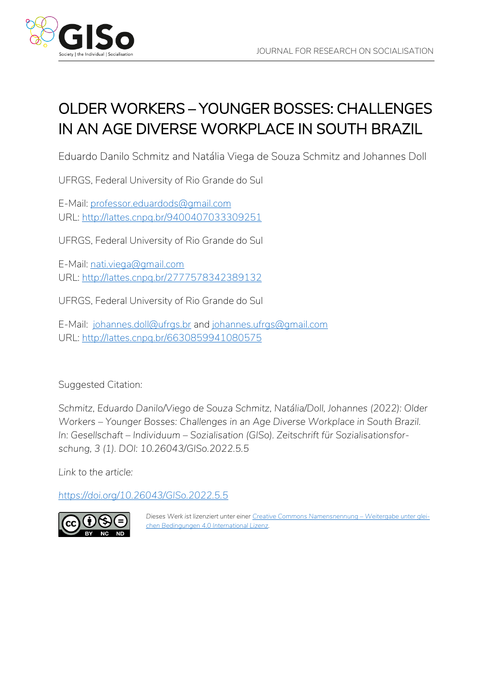

# OLDER WORKERS – YOUNGER BOSSES: CHALLENGES IN AN AGE DIVERSE WORKPLACE IN SOUTH BRAZIL

Eduardo Danilo Schmitz and Natália Viega de Souza Schmitz and Johannes Doll

UFRGS, Federal University of Rio Grande do Sul

E-Mail: [professor.eduardods@gmail.com](mailto:professor.eduardods@gmail.com) URL:<http://lattes.cnpq.br/9400407033309251>

UFRGS, Federal University of Rio Grande do Sul

E-Mail: [nati.viega@gmail.com](mailto:nati.viega@gmail.com) URL:<http://lattes.cnpq.br/2777578342389132>

UFRGS, Federal University of Rio Grande do Sul

E-Mail: [johannes.doll@ufrgs.br](mailto:johannes.doll@ufrgs.br) and [johannes.ufrgs@gmail.com](mailto:johannes.ufrgs@gmail.com) URL:<http://lattes.cnpq.br/6630859941080575>

Suggested Citation*:*

*Schmitz, Eduardo Danilo/Viego de Souza Schmitz, Natália/Doll, Johannes (2022): Older Workers – Younger Bosses: Challenges in an Age Diverse Workplace in South Brazil. In: Gesellschaft – Individuum – Sozialisation (GISo). Zeitschrift für Sozialisationsforschung, 3 (1). DOI: 10.26043/GISo.2022.5.5*

*Link to the article:*

*<https://doi.org/10.26043/GISo.2022.5.5>*



*Dieses Werk ist lizenziert unter einer [Creative Commons Namensnennung](https://creativecommons.org/licenses/by-nc-nd/4.0/deed.de) – Weitergabe unter glei[chen Bedingungen 4.0 International Lizenz.](https://creativecommons.org/licenses/by-nc-nd/4.0/deed.de)*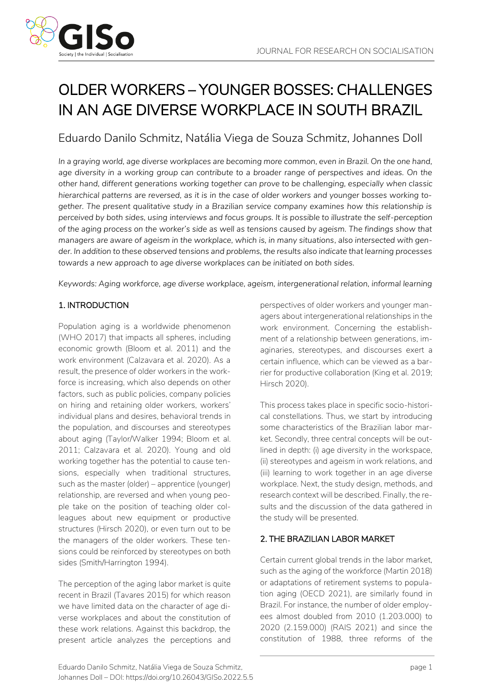# OLDER WORKERS – YOUNGER BOSSES: CHALLENGES IN AN AGE DIVERSE WORKPLACE IN SOUTH BRAZIL

# Eduardo Danilo Schmitz, Natália Viega de Souza Schmitz, Johannes Doll

*In a graying world, age diverse workplaces are becoming more common, even in Brazil. On the one hand, age diversity in a working group can contribute to a broader range of perspectives and ideas. On the other hand, different generations working together can prove to be challenging, especially when classic hierarchical patterns are reversed, as it is in the case of older workers and younger bosses working together. The present qualitative study in a Brazilian service company examines how this relationship is perceived by both sides, using interviews and focus groups. It is possible to illustrate the self-perception of the aging process on the worker's side as well as tensions caused by ageism. The findings show that managers are aware of ageism in the workplace, which is, in many situations, also intersected with gender. In addition to these observed tensions and problems, the results also indicate that learning processes towards a new approach to age diverse workplaces can be initiated on both sides.*

*Keywords: Aging workforce, age diverse workplace, ageism, intergenerational relation, informal learning*

# 1. INTRODUCTION

Population aging is a worldwide phenomenon (WHO 2017) that impacts all spheres, including economic growth (Bloom et al. 2011) and the work environment (Calzavara et al. 2020). As a result, the presence of older workers in the workforce is increasing, which also depends on other factors, such as public policies, company policies on hiring and retaining older workers, workers' individual plans and desires, behavioral trends in the population, and discourses and stereotypes about aging (Taylor/Walker 1994; Bloom et al. 2011; Calzavara et al. 2020). Young and old working together has the potential to cause tensions, especially when traditional structures, such as the master (older) – apprentice (younger) relationship, are reversed and when young people take on the position of teaching older colleagues about new equipment or productive structures (Hirsch 2020), or even turn out to be the managers of the older workers. These tensions could be reinforced by stereotypes on both sides (Smith/Harrington 1994).

The perception of the aging labor market is quite recent in Brazil (Tavares 2015) for which reason we have limited data on the character of age diverse workplaces and about the constitution of these work relations. Against this backdrop, the present article analyzes the perceptions and perspectives of older workers and younger managers about intergenerational relationships in the work environment. Concerning the establishment of a relationship between generations, imaginaries, stereotypes, and discourses exert a certain influence, which can be viewed as a barrier for productive collaboration (King et al. 2019; Hirsch 2020).

This process takes place in specific socio-historical constellations. Thus, we start by introducing some characteristics of the Brazilian labor market. Secondly, three central concepts will be outlined in depth: (i) age diversity in the workspace, (ii) stereotypes and ageism in work relations, and (iii) learning to work together in an age diverse workplace. Next, the study design, methods, and research context will be described. Finally, the results and the discussion of the data gathered in the study will be presented.

# 2. THE BRAZILIAN LABOR MARKET

Certain current global trends in the labor market, such as the aging of the workforce (Martin 2018) or adaptations of retirement systems to population aging (OECD 2021), are similarly found in Brazil. For instance, the number of older employees almost doubled from 2010 (1.203.000) to 2020 (2.159.000) (RAIS 2021) and since the constitution of 1988, three reforms of the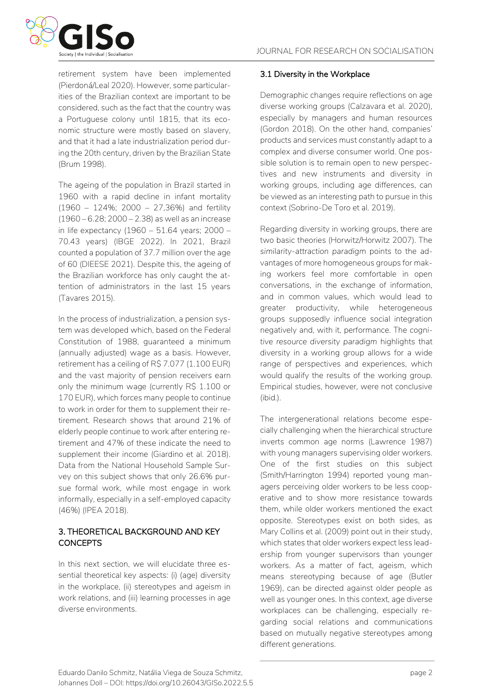

retirement system have been implemented (Pierdoná/Leal 2020). However, some particularities of the Brazilian context are important to be considered, such as the fact that the country was a Portuguese colony until 1815, that its economic structure were mostly based on slavery, and that it had a late industrialization period during the 20th century, driven by the Brazilian State (Brum 1998).

The ageing of the population in Brazil started in 1960 with a rapid decline in infant mortality (1960 – 124%; 2000 – 27,36%) and fertility (1960 – 6.28; 2000 – 2.38) as well as an increase in life expectancy (1960 – 51.64 years; 2000 – 70.43 years) (IBGE 2022). In 2021, Brazil counted a population of 37.7 million over the age of 60 (DIEESE 2021). Despite this, the ageing of the Brazilian workforce has only caught the attention of administrators in the last 15 years (Tavares 2015).

In the process of industrialization, a pension system was developed which, based on the Federal Constitution of 1988, guaranteed a minimum (annually adjusted) wage as a basis. However, retirement has a ceiling of R\$ 7.077 (1.100 EUR) and the vast majority of pension receivers earn only the minimum wage (currently R\$ 1.100 or 170 EUR), which forces many people to continue to work in order for them to supplement their retirement. Research shows that around 21% of elderly people continue to work after entering retirement and 47% of these indicate the need to supplement their income (Giardino et al. 2018). Data from the National Household Sample Survey on this subject shows that only 26.6% pursue formal work, while most engage in work informally, especially in a self-employed capacity (46%) (IPEA 2018).

# 3. THEORETICAL BACKGROUND AND KEY **CONCEPTS**

In this next section, we will elucidate three essential theoretical key aspects: (i) (age) diversity in the workplace, (ii) stereotypes and ageism in work relations, and (iii) learning processes in age diverse environments.

# 3.1 Diversity in the Workplace

Demographic changes require reflections on age diverse working groups (Calzavara et al. 2020), especially by managers and human resources (Gordon 2018). On the other hand, companies' products and services must constantly adapt to a complex and diverse consumer world. One possible solution is to remain open to new perspectives and new instruments and diversity in working groups, including age differences, can be viewed as an interesting path to pursue in this context (Sobrino-De Toro et al. 2019).

Regarding diversity in working groups, there are two basic theories (Horwitz/Horwitz 2007). The *similarity-attraction paradigm* points to the advantages of more homogeneous groups for making workers feel more comfortable in open conversations, in the exchange of information, and in common values, which would lead to greater productivity, while heterogeneous groups supposedly influence social integration negatively and, with it, performance. The *cognitive resource diversity paradigm* highlights that diversity in a working group allows for a wide range of perspectives and experiences, which would qualify the results of the working group. Empirical studies, however, were not conclusive (ibid.).

The intergenerational relations become especially challenging when the hierarchical structure inverts common age norms (Lawrence 1987) with young managers supervising older workers. One of the first studies on this subject (Smith/Harrington 1994) reported young managers perceiving older workers to be less cooperative and to show more resistance towards them, while older workers mentioned the exact opposite. Stereotypes exist on both sides, as Mary Collins et al. (2009) point out in their study, which states that older workers expect less leadership from younger supervisors than younger workers. As a matter of fact, ageism, which means stereotyping because of age (Butler 1969), can be directed against older people as well as younger ones. In this context, age diverse workplaces can be challenging, especially regarding social relations and communications based on mutually negative stereotypes among different generations.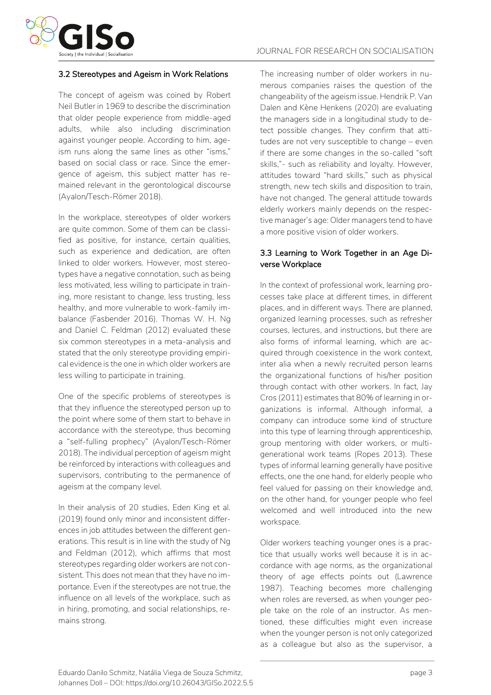

#### 3.2 Stereotypes and Ageism in Work Relations

The concept of ageism was coined by Robert Neil Butler in 1969 to describe the discrimination that older people experience from middle-aged adults, while also including discrimination against younger people. According to him, ageism runs along the same lines as other "isms," based on social class or race. Since the emergence of ageism, this subject matter has remained relevant in the gerontological discourse (Ayalon/Tesch-Römer 2018).

In the workplace, stereotypes of older workers are quite common. Some of them can be classified as positive, for instance, certain qualities, such as experience and dedication, are often linked to older workers. However, most stereotypes have a negative connotation, such as being less motivated, less willing to participate in training, more resistant to change, less trusting, less healthy, and more vulnerable to work-family imbalance (Fasbender 2016). Thomas W. H. Ng and Daniel C. Feldman (2012) evaluated these six common stereotypes in a meta-analysis and stated that the only stereotype providing empirical evidence is the one in which older workers are less willing to participate in training.

One of the specific problems of stereotypes is that they influence the stereotyped person up to the point where some of them start to behave in accordance with the stereotype, thus becoming a "self-fulling prophecy" (Ayalon/Tesch-Römer 2018). The individual perception of ageism might be reinforced by interactions with colleagues and supervisors, contributing to the permanence of ageism at the company level.

In their analysis of 20 studies, Eden King et al. (2019) found only minor and inconsistent differences in job attitudes between the different generations. This result is in line with the study of Ng and Feldman (2012), which affirms that most stereotypes regarding older workers are not consistent. This does not mean that they have no importance. Even if the stereotypes are not true, the influence on all levels of the workplace, such as in hiring, promoting, and social relationships, remains strong.

The increasing number of older workers in numerous companies raises the question of the changeability of the ageism issue. Hendrik P. Van Dalen and Kène Henkens (2020) are evaluating the managers side in a longitudinal study to detect possible changes. They confirm that attitudes are not very susceptible to change – even if there are some changes in the so-called "soft skills,"- such as reliability and loyalty. However, attitudes toward "hard skills," such as physical strength, new tech skills and disposition to train, have not changed. The general attitude towards elderly workers mainly depends on the respective manager's age: Older managers tend to have a more positive vision of older workers.

#### 3.3 Learning to Work Together in an Age Diverse Workplace

In the context of professional work, learning processes take place at different times, in different places, and in different ways. There are planned, organized learning processes, such as refresher courses, lectures, and instructions, but there are also forms of informal learning, which are acquired through coexistence in the work context, inter alia when a newly recruited person learns the organizational functions of his/her position through contact with other workers. In fact, Jay Cros (2011) estimates that 80% of learning in organizations is informal. Although informal, a company can introduce some kind of structure into this type of learning through apprenticeship, group mentoring with older workers, or multigenerational work teams (Ropes 2013). These types of informal learning generally have positive effects, one the one hand, for elderly people who feel valued for passing on their knowledge and, on the other hand, for younger people who feel welcomed and well introduced into the new workspace.

Older workers teaching younger ones is a practice that usually works well because it is in accordance with age norms, as the organizational theory of age effects points out (Lawrence 1987). Teaching becomes more challenging when roles are reversed, as when younger people take on the role of an instructor. As mentioned, these difficulties might even increase when the younger person is not only categorized as a colleague but also as the supervisor, a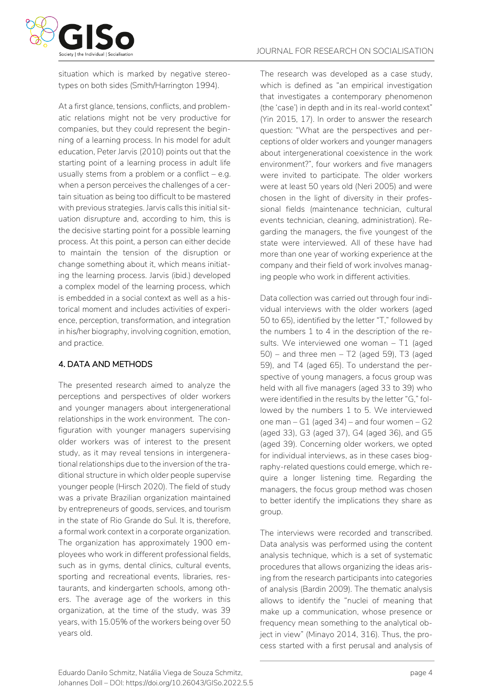

situation which is marked by negative stereotypes on both sides (Smith/Harrington 1994).

At a first glance, tensions, conflicts, and problematic relations might not be very productive for companies, but they could represent the beginning of a learning process. In his model for adult education, Peter Jarvis (2010) points out that the starting point of a learning process in adult life usually stems from a problem or a conflict  $-$  e.g. when a person perceives the challenges of a certain situation as being too difficult to be mastered with previous strategies. Jarvis calls this initial situation *disrupture* and, according to him, this is the decisive starting point for a possible learning process. At this point, a person can either decide to maintain the tension of the disruption or change something about it, which means initiating the learning process. Jarvis (ibid.) developed a complex model of the learning process, which is embedded in a social context as well as a historical moment and includes activities of experience, perception, transformation, and integration in his/her biography, involving cognition, emotion, and practice.

#### 4. DATA AND METHODS

The presented research aimed to analyze the perceptions and perspectives of older workers and younger managers about intergenerational relationships in the work environment. The configuration with younger managers supervising older workers was of interest to the present study, as it may reveal tensions in intergenerational relationships due to the inversion of the traditional structure in which older people supervise younger people (Hirsch 2020). The field of study was a private Brazilian organization maintained by entrepreneurs of goods, services, and tourism in the state of Rio Grande do Sul. It is, therefore, a formal work context in a corporate organization. The organization has approximately 1900 employees who work in different professional fields, such as in gyms, dental clinics, cultural events, sporting and recreational events, libraries, restaurants, and kindergarten schools, among others. The average age of the workers in this organization, at the time of the study, was 39 years, with 15.05% of the workers being over 50 years old.

The research was developed as a case study, which is defined as "an empirical investigation that investigates a contemporary phenomenon (the 'case') in depth and in its real-world context" (Yin 2015, 17). In order to answer the research question: "What are the perspectives and perceptions of older workers and younger managers about intergenerational coexistence in the work environment?", four workers and five managers were invited to participate. The older workers were at least 50 years old (Neri 2005) and were chosen in the light of diversity in their professional fields (maintenance technician, cultural events technician, cleaning, administration). Regarding the managers, the five youngest of the state were interviewed. All of these have had more than one year of working experience at the company and their field of work involves managing people who work in different activities.

Data collection was carried out through four individual interviews with the older workers (aged 50 to 65), identified by the letter "T," followed by the numbers 1 to 4 in the description of the results. We interviewed one woman – T1 (aged  $50$ ) – and three men – T2 (aged 59), T3 (aged 59), and T4 (aged 65). To understand the perspective of young managers, a focus group was held with all five managers (aged 33 to 39) who were identified in the results by the letter "G," followed by the numbers 1 to 5. We interviewed one man  $- G1$  (aged 34) – and four women  $- G2$ (aged 33), G3 (aged 37), G4 (aged 36), and G5 (aged 39). Concerning older workers, we opted for individual interviews, as in these cases biography-related questions could emerge, which require a longer listening time. Regarding the managers, the focus group method was chosen to better identify the implications they share as group.

The interviews were recorded and transcribed. Data analysis was performed using the content analysis technique, which is a set of systematic procedures that allows organizing the ideas arising from the research participants into categories of analysis (Bardin 2009). The thematic analysis allows to identify the "nuclei of meaning that make up a communication, whose presence or frequency mean something to the analytical object in view" (Minayo 2014, 316). Thus, the process started with a first perusal and analysis of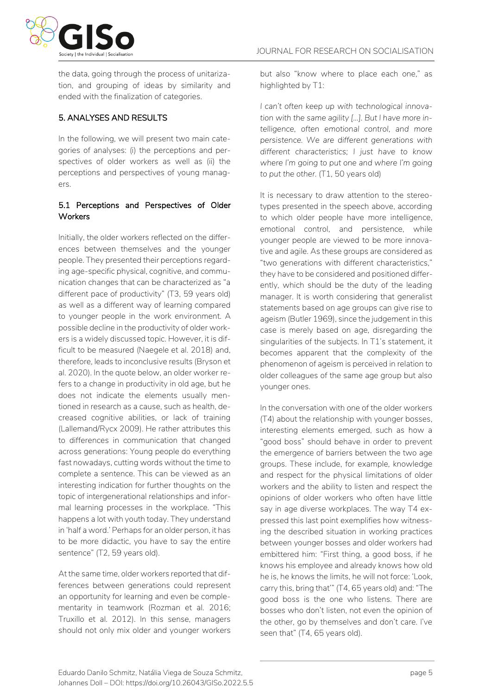

the data, going through the process of unitarization, and grouping of ideas by similarity and ended with the finalization of categories.

# 5. ANALYSES AND RESULTS

In the following, we will present two main categories of analyses: (i) the perceptions and perspectives of older workers as well as (ii) the perceptions and perspectives of young managers.

#### 5.1 Perceptions and Perspectives of Older **Workers**

Initially, the older workers reflected on the differences between themselves and the younger people. They presented their perceptions regarding age-specific physical, cognitive, and communication changes that can be characterized as "a different pace of productivity" (T3, 59 years old) as well as a different way of learning compared to younger people in the work environment. A possible decline in the productivity of older workers is a widely discussed topic. However, it is difficult to be measured (Naegele et al. 2018) and, therefore, leads to inconclusive results (Bryson et al. 2020). In the quote below, an older worker refers to a change in productivity in old age, but he does not indicate the elements usually mentioned in research as a cause, such as health, decreased cognitive abilities, or lack of training (Lallemand/Rycx 2009). He rather attributes this to differences in communication that changed across generations: Young people do everything fast nowadays, cutting words without the time to complete a sentence. This can be viewed as an interesting indication for further thoughts on the topic of intergenerational relationships and informal learning processes in the workplace. "This happens a lot with youth today. They understand in 'half a word.' Perhaps for an older person, it has to be more didactic, you have to say the entire sentence" (T2, 59 years old).

At the same time, older workers reported that differences between generations could represent an opportunity for learning and even be complementarity in teamwork (Rozman et al. 2016; Truxillo et al. 2012). In this sense, managers should not only mix older and younger workers but also "know where to place each one," as highlighted by T1:

*I can't often keep up with technological innovation with the same agility [...]. But I have more intelligence, often emotional control, and more persistence. We are different generations with different characteristics; I just have to know where I'm going to put one and where I'm going to put the other.* (T1, 50 years old)

It is necessary to draw attention to the stereotypes presented in the speech above, according to which older people have more intelligence, emotional control, and persistence, while younger people are viewed to be more innovative and agile. As these groups are considered as "two generations with different characteristics," they have to be considered and positioned differently, which should be the duty of the leading manager. It is worth considering that generalist statements based on age groups can give rise to ageism (Butler 1969), since the judgement in this case is merely based on age, disregarding the singularities of the subjects. In T1's statement, it becomes apparent that the complexity of the phenomenon of ageism is perceived in relation to older colleagues of the same age group but also younger ones.

In the conversation with one of the older workers (T4) about the relationship with younger bosses, interesting elements emerged, such as how a "good boss" should behave in order to prevent the emergence of barriers between the two age groups. These include, for example, knowledge and respect for the physical limitations of older workers and the ability to listen and respect the opinions of older workers who often have little say in age diverse workplaces. The way T4 expressed this last point exemplifies how witnessing the described situation in working practices between younger bosses and older workers had embittered him: "First thing, a good boss, if he knows his employee and already knows how old he is, he knows the limits, he will not force: 'Look, carry this, bring that'" (T4, 65 years old) and: "The good boss is the one who listens. There are bosses who don't listen, not even the opinion of the other, go by themselves and don't care. I've seen that" (T4, 65 years old).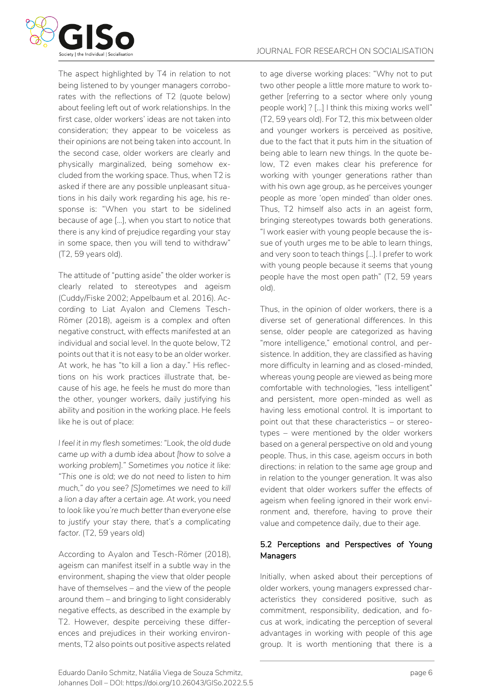

The aspect highlighted by T4 in relation to not being listened to by younger managers corroborates with the reflections of T2 (quote below) about feeling left out of work relationships. In the first case, older workers' ideas are not taken into consideration; they appear to be voiceless as their opinions are not being taken into account. In the second case, older workers are clearly and physically marginalized, being somehow excluded from the working space. Thus, when T2 is asked if there are any possible unpleasant situations in his daily work regarding his age, his response is: "When you start to be sidelined because of age [...], when you start to notice that there is any kind of prejudice regarding your stay in some space, then you will tend to withdraw" (T2, 59 years old).

The attitude of "putting aside" the older worker is clearly related to stereotypes and ageism (Cuddy/Fiske 2002; Appelbaum et al. 2016). According to Liat Ayalon and Clemens Tesch-Römer (2018), ageism is a complex and often negative construct, with effects manifested at an individual and social level. In the quote below, T2 points out that it is not easy to be an older worker. At work, he has "to kill a lion a day." His reflections on his work practices illustrate that, because of his age, he feels he must do more than the other, younger workers, daily justifying his ability and position in the working place. He feels like he is out of place:

*I feel it in my flesh sometimes: "Look, the old dude came up with a dumb idea about [how to solve a working problem]." Sometimes you notice it like: "This one is old; we do not need to listen to him much," do you see? [S]ometimes we need to kill a lion a day after a certain age. At work, you need to look like you're much better than everyone else to justify your stay there, that's a complicating factor.* (T2, 59 years old)

According to Ayalon and Tesch-Römer (2018), ageism can manifest itself in a subtle way in the environment, shaping the view that older people have of themselves – and the view of the people around them – and bringing to light considerably negative effects, as described in the example by T2. However, despite perceiving these differences and prejudices in their working environments, T2 also points out positive aspects related to age diverse working places: "Why not to put two other people a little more mature to work together [referring to a sector where only young people work] ? [...] I think this mixing works well" (T2, 59 years old). For T2, this mix between older and younger workers is perceived as positive, due to the fact that it puts him in the situation of being able to learn new things. In the quote below, T2 even makes clear his preference for working with younger generations rather than with his own age group, as he perceives younger people as more 'open minded' than older ones. Thus, T2 himself also acts in an ageist form, bringing stereotypes towards both generations. "I work easier with young people because the issue of youth urges me to be able to learn things, and very soon to teach things [...]. I prefer to work with young people because it seems that young people have the most open path" (T2, 59 years old).

Thus, in the opinion of older workers, there is a diverse set of generational differences. In this sense, older people are categorized as having "more intelligence," emotional control, and persistence. In addition, they are classified as having more difficulty in learning and as closed-minded, whereas young people are viewed as being more comfortable with technologies, "less intelligent" and persistent, more open-minded as well as having less emotional control. It is important to point out that these characteristics – or stereotypes – were mentioned by the older workers based on a general perspective on old and young people. Thus, in this case, ageism occurs in both directions: in relation to the same age group and in relation to the younger generation. It was also evident that older workers suffer the effects of ageism when feeling ignored in their work environment and, therefore, having to prove their value and competence daily, due to their age.

# 5.2 Perceptions and Perspectives of Young **Managers**

Initially, when asked about their perceptions of older workers, young managers expressed characteristics they considered positive, such as commitment, responsibility, dedication, and focus at work, indicating the perception of several advantages in working with people of this age group. It is worth mentioning that there is a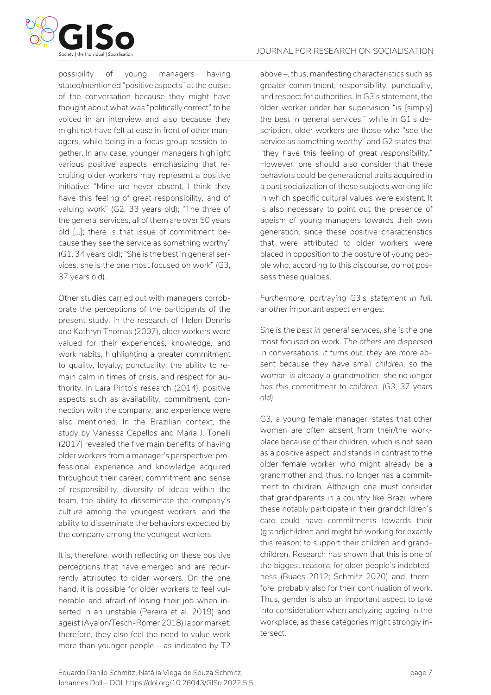

possibility of young managers having stated/mentioned "positive aspects" at the outset of the conversation because they might have thought about what was "politically correct" to be voiced in an interview and also because they might not have felt at ease in front of other managers, while being in a focus group session together. In any case, younger managers highlight various positive aspects, emphasizing that recruiting older workers may represent a positive initiative: "Mine are never absent, I think they have this feeling of great responsibility, and of valuing work" (G2, 33 years old); "The three of the general services, all of them are over 50 years old [...]; there is that issue of commitment because they see the service as something worthy" (G1, 34 years old); "She is the best in general services, she is the one most focused on work" (G3, 37 years old).

Other studies carried out with managers corroborate the perceptions of the participants of the present study. In the research of Helen Dennis and Kathryn Thomas (2007), older workers were valued for their experiences, knowledge, and work habits, highlighting a greater commitment to quality, loyalty, punctuality, the ability to remain calm in times of crisis, and respect for authority. In Lara Pinto's research (2014), positive aspects such as availability, commitment, connection with the company, and experience were also mentioned. In the Brazilian context, the study by Vanessa Cepellos and Maria J. Tonelli (2017) revealed the five main benefits of having older workers from a manager's perspective: professional experience and knowledge acquired throughout their career, commitment and sense of responsibility, diversity of ideas within the team, the ability to disseminate the company's culture among the youngest workers, and the ability to disseminate the behaviors expected by the company among the youngest workers.

It is, therefore, worth reflecting on these positive perceptions that have emerged and are recurrently attributed to older workers. On the one hand, it is possible for older workers to feel vulnerable and afraid of losing their job when inserted in an unstable (Pereira et al. 2019) and ageist (Ayalon/Tesch-Römer 2018) labor market; therefore, they also feel the need to value work more than younger people – as indicated by T2 above –, thus, manifesting characteristics such as greater commitment, responsibility, punctuality, and respect for authorities. In G3's statement, the older worker under her supervision "is [simply] *the best* in general services," while in G1's description, older workers are those who "see the service as something *worthy*" and G2 states that "they have this feeling of *great responsibility*." However, one should also consider that these behaviors could be generational traits acquired in a past socialization of these subjects working life in which specific cultural values were existent. It is also necessary to point out the presence of ageism of young managers towards their own generation, since these positive characteristics that were attributed to older workers were placed in opposition to the posture of young people who, according to this discourse, do not possess these qualities.

*Furthermore, portraying G3's statement in full, another important aspect emerges:*

*She is the best in general services, she is the one most focused on work. The others are dispersed in conversations. It turns out, they are more absent because they have small children, so the woman is already a grandmother, she no longer has this commitment to children. (G3, 37 years old)*

G3, a young female manager, states that other women are often absent from their/the workplace because of their children, which is not seen as a positive aspect, and stands in contrast to the older female worker who might already be a grandmother and, thus, no longer has a commitment to children. Although one must consider that grandparents in a country like Brazil where these notably participate in their grandchildren's care could have commitments towards their (grand)children and might be working for exactly this reason: to support their children and grandchildren. Research has shown that this is one of the biggest reasons for older people's indebtedness (Buaes 2012; Schmitz 2020) and, therefore, probably also for their continuation of work. Thus, gender is also an important aspect to take into consideration when analyzing ageing in the workplace, as these categories might strongly intersect.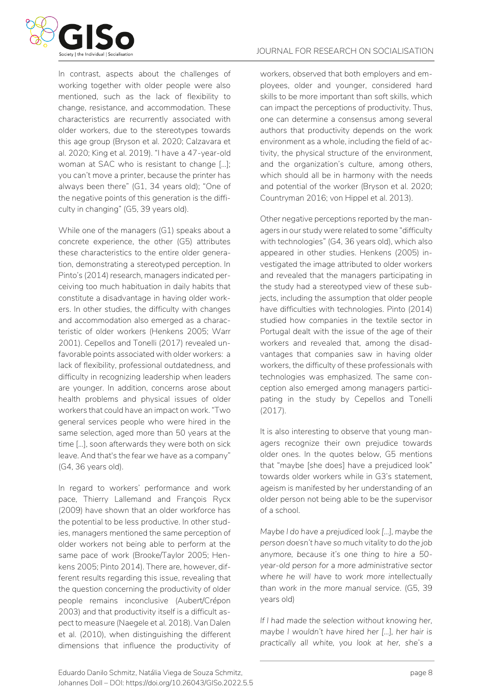

In contrast, aspects about the challenges of working together with older people were also mentioned, such as the lack of flexibility to change, resistance, and accommodation. These characteristics are recurrently associated with older workers, due to the stereotypes towards this age group (Bryson et al. 2020; Calzavara et al. 2020; King et al. 2019). "I have a 47-year-old woman at SAC who is resistant to change [...]; you can't move a printer, because the printer has always been there" (G1, 34 years old); "One of the negative points of this generation is the difficulty in changing" (G5, 39 years old).

While one of the managers (G1) speaks about a concrete experience, the other (G5) attributes these characteristics to the entire older generation, demonstrating a stereotyped perception. In Pinto's (2014) research, managers indicated perceiving too much habituation in daily habits that constitute a disadvantage in having older workers. In other studies, the difficulty with changes and accommodation also emerged as a characteristic of older workers (Henkens 2005; Warr 2001). Cepellos and Tonelli (2017) revealed unfavorable points associated with older workers: a lack of flexibility, professional outdatedness, and difficulty in recognizing leadership when leaders are younger. In addition, concerns arose about health problems and physical issues of older workers that could have an impact on work. "Two general services people who were hired in the same selection, aged more than 50 years at the time [...], soon afterwards they were both on sick leave. And that's the fear we have as a company" (G4, 36 years old).

In regard to workers' performance and work pace, Thierry Lallemand and François Rycx (2009) have shown that an older workforce has the potential to be less productive. In other studies, managers mentioned the same perception of older workers not being able to perform at the same pace of work (Brooke/Taylor 2005; Henkens 2005; Pinto 2014). There are, however, different results regarding this issue, revealing that the question concerning the productivity of older people remains inconclusive (Aubert/Crépon 2003) and that productivity itself is a difficult aspect to measure (Naegele et al. 2018). Van Dalen et al. (2010), when distinguishing the different dimensions that influence the productivity of workers, observed that both employers and employees, older and younger, considered hard skills to be more important than soft skills, which can impact the perceptions of productivity. Thus, one can determine a consensus among several authors that productivity depends on the work environment as a whole, including the field of activity, the physical structure of the environment, and the organization's culture, among others, which should all be in harmony with the needs and potential of the worker (Bryson et al. 2020; Countryman 2016; von Hippel et al. 2013).

Other negative perceptions reported by the managers in our study were related to some "difficulty with technologies" (G4, 36 years old), which also appeared in other studies. Henkens (2005) investigated the image attributed to older workers and revealed that the managers participating in the study had a stereotyped view of these subjects, including the assumption that older people have difficulties with technologies. Pinto (2014) studied how companies in the textile sector in Portugal dealt with the issue of the age of their workers and revealed that, among the disadvantages that companies saw in having older workers, the difficulty of these professionals with technologies was emphasized. The same conception also emerged among managers participating in the study by Cepellos and Tonelli (2017).

It is also interesting to observe that young managers recognize their own prejudice towards older ones. In the quotes below, G5 mentions that "maybe [she does] have a prejudiced look" towards older workers while in G3's statement, ageism is manifested by her understanding of an older person not being able to be the supervisor of a school.

*Maybe I do have a prejudiced look [...], maybe the person doesn't have so much vitality to do the job anymore, because it's one thing to hire a 50 year-old person for a more administrative sector where he will have to work more intellectually than work in the more manual service.* (G5, 39 years old)

*If I had made the selection without knowing her, maybe I wouldn't have hired her [...], her hair is practically all white, you look at her, she's a*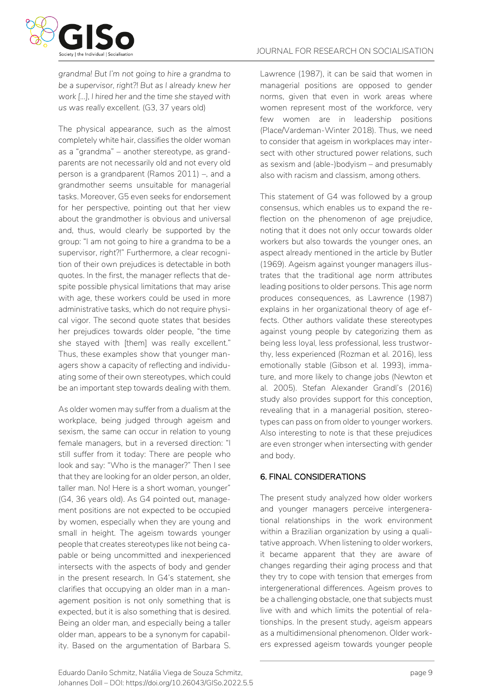

*grandma! But I'm not going to hire a grandma to be a supervisor, right?! But as I already knew her work [...], I hired her and the time she stayed with us was really excellent.* (G3, 37 years old)

The physical appearance, such as the almost completely white hair, classifies the older woman as a "grandma" – another stereotype, as grandparents are not necessarily old and not every old person is a grandparent (Ramos 2011) –, and a grandmother seems unsuitable for managerial tasks. Moreover, G5 even seeks for endorsement for her perspective, pointing out that her view about the grandmother is obvious and universal and, thus, would clearly be supported by the group: "I am not going to hire a grandma to be a supervisor, *right*?!" Furthermore, a clear recognition of their own prejudices is detectable in both quotes. In the first, the manager reflects that despite possible physical limitations that may arise with age, these workers could be used in more administrative tasks, which do not require physical vigor. The second quote states that besides her prejudices towards older people, "the time she stayed with [them] was really excellent." Thus, these examples show that younger managers show a capacity of reflecting and individuating some of their own stereotypes, which could be an important step towards dealing with them.

As older women may suffer from a *dual*ism at the workplace, being judged through ageism and sexism, the same can occur in relation to young female managers, but in a reversed direction: "I still suffer from it today: There are people who look and say: "Who is the manager?" Then I see that they are looking for an older person, an older, taller man. No! Here is a short woman, younger" (G4, 36 years old). As G4 pointed out, management positions are not expected to be occupied by women, especially when they are young and small in height. The ageism towards younger people that creates stereotypes like not being capable or being uncommitted and inexperienced intersects with the aspects of body and gender in the present research. In G4's statement, she clarifies that occupying an older man in a management position is not only something that is expected, but it is also something that is desired. Being an older man, and especially being a taller older man, appears to be a synonym for capability. Based on the argumentation of Barbara S. Lawrence (1987), it can be said that women in managerial positions are opposed to gender norms, given that even in work areas where women represent most of the workforce, very few women are in leadership positions (Place/Vardeman-Winter 2018). Thus, we need to consider that ageism in workplaces may intersect with other structured power relations, such as sexism and (able-)bodyism – and presumably also with racism and classism, among others.

This statement of G4 was followed by a group consensus, which enables us to expand the reflection on the phenomenon of age prejudice, noting that it does not only occur towards older workers but also towards the younger ones, an aspect already mentioned in the article by Butler (1969). Ageism against younger managers illustrates that the traditional age norm attributes leading positions to older persons. This age norm produces consequences, as Lawrence (1987) explains in her organizational theory of age effects. Other authors validate these stereotypes against young people by categorizing them as being less loyal, less professional, less trustworthy, less experienced (Rozman et al. 2016), less emotionally stable (Gibson et al. 1993), immature, and more likely to change jobs (Newton et al. 2005). Stefan Alexander Grandl's (2016) study also provides support for this conception, revealing that in a managerial position, stereotypes can pass on from older to younger workers. Also interesting to note is that these prejudices are even stronger when intersecting with gender and body.

# 6. FINAL CONSIDERATIONS

The present study analyzed how older workers and younger managers perceive intergenerational relationships in the work environment within a Brazilian organization by using a qualitative approach. When listening to older workers, it became apparent that they are aware of changes regarding their aging process and that they try to cope with tension that emerges from intergenerational differences. Ageism proves to be a challenging obstacle, one that subjects must live with and which limits the potential of relationships. In the present study, ageism appears as a multidimensional phenomenon. Older workers expressed ageism towards younger people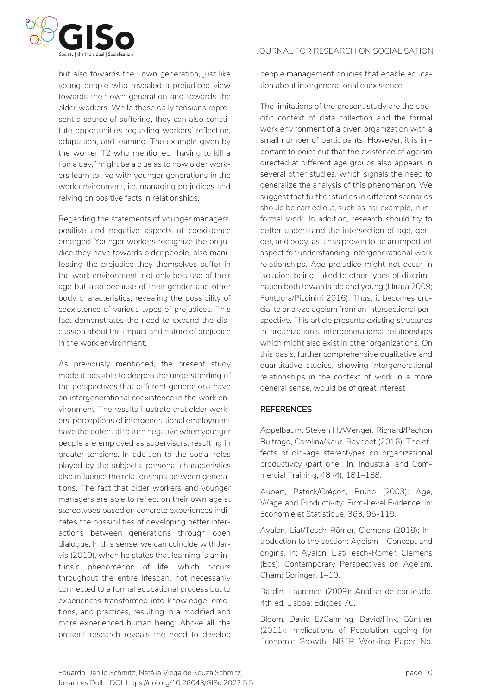but also towards their own generation, just like young people who revealed a prejudiced view towards their own generation and towards the older workers. While these daily tensions represent a source of suffering, they can also constitute opportunities regarding workers' reflection, adaptation, and learning. The example given by the worker T2 who mentioned "having to kill a lion a day," might be a clue as to how older workers learn to live with younger generations in the work environment, i.e. managing prejudices and relying on positive facts in relationships.

Regarding the statements of younger managers, positive and negative aspects of coexistence emerged. Younger workers recognize the prejudice they have towards older people, also manifesting the prejudice they themselves suffer in the work environment, not only because of their age but also because of their gender and other body characteristics, revealing the possibility of coexistence of various types of prejudices. This fact demonstrates the need to expand the discussion about the impact and nature of prejudice in the work environment.

As previously mentioned, the present study made it possible to deepen the understanding of the perspectives that different generations have on intergenerational coexistence in the work environment. The results illustrate that older workers' perceptions of intergenerational employment have the potential to turn negative when younger people are employed as supervisors, resulting in greater tensions. In addition to the social roles played by the subjects, personal characteristics also influence the relationships between generations. The fact that older workers and younger managers are able to reflect on their own ageist stereotypes based on concrete experiences indicates the possibilities of developing better interactions between generations through open dialogue. In this sense, we can coincide with Jarvis (2010), when he states that learning is an intrinsic phenomenon of life, which occurs throughout the entire lifespan, not necessarily connected to a formal educational process but to experiences transformed into knowledge, emotions, and practices, resulting in a modified and more experienced human being. Above all, the present research reveals the need to develop people management policies that enable education about intergenerational coexistence.

The limitations of the present study are the specific context of data collection and the formal work environment of a given organization with a small number of participants. However, it is important to point out that the existence of ageism directed at different age groups also appears in several other studies, which signals the need to generalize the analysis of this phenomenon. We suggest that further studies in different scenarios should be carried out, such as, for example, in informal work. In addition, research should try to better understand the intersection of age, gender, and body, as it has proven to be an important aspect for understanding intergenerational work relationships. Age prejudice might not occur in isolation, being linked to other types of discrimination both towards old and young (Hirata 2009; Fontoura/Piccinini 2016). Thus, it becomes crucial to analyze ageism from an intersectional perspective. This article presents existing structures in organization's intergenerational relationships which might also exist in other organizations. On this basis, further comprehensive qualitative and quantitative studies, showing intergenerational relationships in the context of work in a more general sense, would be of great interest.

# **REFERENCES**

Appelbaum, Steven H./Wenger, Richard/Pachon Buitrago, Carolina/Kaur, Ravneet (2016): The effects of old-age stereotypes on organizational productivity (part one). In: Industrial and Commercial Training, 48 (4), 181–188.

Aubert, Patrick/Crépon, Bruno (2003): Age, Wage and Productivity: Firm-Level Evidence. In: Economie et Statistique, 363, 95-119.

Ayalon, Liat/Tesch-Römer, Clemens (2018): Introduction to the section: Ageism – Concept and origins. In: Ayalon, Liat/Tesch-Römer, Clemens (Eds): Contemporary Perspectives on Ageism. Cham: Springer, 1–10.

Bardin, Laurence (2009): Análise de conteúdo. 4th ed. Lisboa: Edições 70.

Bloom, David E./Canning, David/Fink, Günther (2011): Implications of Population ageing for Economic Growth. NBER Working Paper No.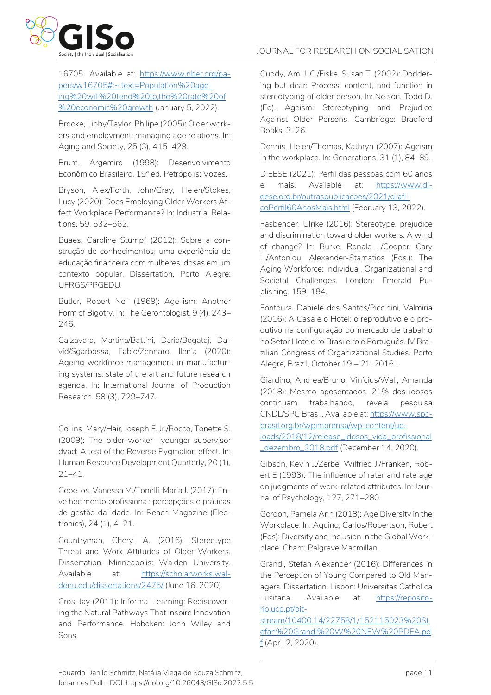

16705. Available at: [https://www.nber.org/pa](https://www.nber.org/papers/w16705#:~:text=Population%20ageing%20will%20tend%20to,the%20rate%20of%20economic%20growth)[pers/w16705#:~:text=Population%20age](https://www.nber.org/papers/w16705#:~:text=Population%20ageing%20will%20tend%20to,the%20rate%20of%20economic%20growth)[ing%20will%20tend%20to,the%20rate%20of](https://www.nber.org/papers/w16705#:~:text=Population%20ageing%20will%20tend%20to,the%20rate%20of%20economic%20growth) [%20economic%20growth](https://www.nber.org/papers/w16705#:~:text=Population%20ageing%20will%20tend%20to,the%20rate%20of%20economic%20growth) (January 5, 2022).

Brooke, Libby/Taylor, Philipe (2005): Older workers and employment: managing age relations. In: Aging and Society, 25 (3), 415–429.

Brum, Argemiro (1998): Desenvolvimento Econômico Brasileiro. 19ª ed. Petrópolis: Vozes.

Bryson, Alex/Forth, John/Gray, Helen/Stokes, Lucy (2020): Does Employing Older Workers Affect Workplace Performance? In: Industrial Relations, 59, 532–562.

Buaes, Caroline Stumpf (2012): Sobre a construção de conhecimentos: uma experiência de educação financeira com mulheres idosas em um contexto popular. Dissertation. Porto Alegre: UFRGS/PPGEDU.

Butler, Robert Neil (1969): Age-ism: Another Form of Bigotry. In: The Gerontologist, 9 (4), 243– 246.

Calzavara, Martina/Battini, Daria/Bogataj, David/Sgarbossa, Fabio/Zennaro, Ilenia (2020): Ageing workforce management in manufacturing systems: state of the art and future research agenda. In: International Journal of Production Research, 58 (3), 729–747.

Collins, Mary/Hair, Joseph F. Jr./Rocco, Tonette S. (2009): The older-worker—younger-supervisor dyad: A test of the Reverse Pygmalion effect. In: Human Resource Development Quarterly, 20 (1), 21–41.

Cepellos, Vanessa M./Tonelli, Maria J. (2017): Envelhecimento profissional: percepções e práticas de gestão da idade. In: Reach Magazine (Electronics), 24 (1), 4–21.

Countryman, Cheryl A. (2016): Stereotype Threat and Work Attitudes of Older Workers. Dissertation. Minneapolis: Walden University. Available at: [https://scholarworks.wal](https://scholarworks.waldenu.edu/dissertations/2475/)[denu.edu/dissertations/2475/](https://scholarworks.waldenu.edu/dissertations/2475/) (June 16, 2020).

Cros, Jay (2011): Informal Learning: Rediscovering the Natural Pathways That Inspire Innovation and Performance. Hoboken: John Wiley and Sons.

Cuddy, Ami J. C./Fiske, Susan T. (2002): Doddering but dear: Process, content, and function in stereotyping of older person. In: Nelson, Todd D. (Ed). Ageism: Stereotyping and Prejudice Against Older Persons. Cambridge: Bradford Books, 3–26.

Dennis, Helen/Thomas, Kathryn (2007): Ageism in the workplace. In: Generations, 31 (1), 84–89.

DIEESE (2021): Perfil das pessoas com 60 anos e mais. Available at: [https://www.di](https://www.dieese.org.br/outraspublicacoes/2021/graficoPerfil60AnosMais.html)[eese.org.br/outraspublicacoes/2021/grafi](https://www.dieese.org.br/outraspublicacoes/2021/graficoPerfil60AnosMais.html)[coPerfil60AnosMais.html](https://www.dieese.org.br/outraspublicacoes/2021/graficoPerfil60AnosMais.html) (February 13, 2022).

Fasbender, Ulrike (2016): Stereotype, prejudice and discrimination toward older workers: A wind of change? In: Burke, Ronald J./Cooper, Cary L./Antoniou, Alexander-Stamatios (Eds.): The Aging Workforce: Individual, Organizational and Societal Challenges. London: Emerald Publishing, 159–184.

Fontoura, Daniele dos Santos/Piccinini, Valmiria (2016): A Casa e o Hotel: o reprodutivo e o produtivo na configuração do mercado de trabalho no Setor Hoteleiro Brasileiro e Português. IV Brazilian Congress of Organizational Studies. Porto Alegre, Brazil, October 19 – 21, 2016 .

Giardino, Andrea/Bruno, Vinícius/Wall, Amanda (2018): Mesmo aposentados, 21% dos idosos continuam trabalhando, revela pesquisa CNDL/SPC Brasil. Available at[: https://www.spc](https://www.spcbrasil.org.br/wpimprensa/wp-content/uploads/2018/12/release_idosos_vida_profissional_dezembro_2018.pdf)[brasil.org.br/wpimprensa/wp-content/up](https://www.spcbrasil.org.br/wpimprensa/wp-content/uploads/2018/12/release_idosos_vida_profissional_dezembro_2018.pdf)[loads/2018/12/release\\_idosos\\_vida\\_profissional](https://www.spcbrasil.org.br/wpimprensa/wp-content/uploads/2018/12/release_idosos_vida_profissional_dezembro_2018.pdf) [\\_dezembro\\_2018.pdf](https://www.spcbrasil.org.br/wpimprensa/wp-content/uploads/2018/12/release_idosos_vida_profissional_dezembro_2018.pdf) (December 14, 2020).

Gibson, Kevin J./Zerbe, Wilfried J./Franken, Robert E (1993): The influence of rater and rate age on judgments of work-related attributes. In: Journal of Psychology, 127, 271–280.

Gordon, Pamela Ann (2018): Age Diversity in the Workplace. In: Aquino, Carlos/Robertson, Robert (Eds): Diversity and Inclusion in the Global Workplace. Cham: Palgrave Macmillan.

Grandl, Stefan Alexander (2016): Differences in the Perception of Young Compared to Old Managers. Dissertation. Lisbon: Universitas Catholica Lusitana. Available at: [https://reposito](https://repositorio.ucp.pt/bitstream/10400.14/22758/1/152115023%20Stefan%20Grandl%20W%20NEW%20PDFA.pdf)[rio.ucp.pt/bit-](https://repositorio.ucp.pt/bitstream/10400.14/22758/1/152115023%20Stefan%20Grandl%20W%20NEW%20PDFA.pdf)

[stream/10400.14/22758/1/152115023%20St](https://repositorio.ucp.pt/bitstream/10400.14/22758/1/152115023%20Stefan%20Grandl%20W%20NEW%20PDFA.pdf) [efan%20Grandl%20W%20NEW%20PDFA.pd](https://repositorio.ucp.pt/bitstream/10400.14/22758/1/152115023%20Stefan%20Grandl%20W%20NEW%20PDFA.pdf) [f](https://repositorio.ucp.pt/bitstream/10400.14/22758/1/152115023%20Stefan%20Grandl%20W%20NEW%20PDFA.pdf) (April 2, 2020).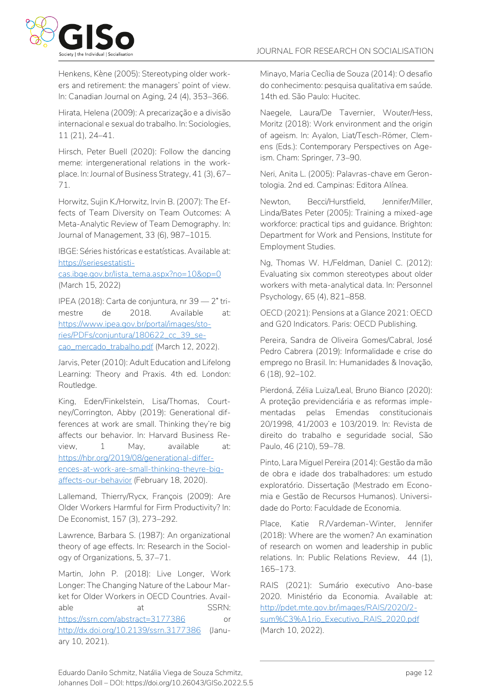

Henkens, Kène (2005): Stereotyping older workers and retirement: the managers' point of view. In: Canadian Journal on Aging, 24 (4), 353–366.

Hirata, Helena (2009): A precarização e a divisão internacional e sexual do trabalho. In: Sociologies, 11 (21), 24–41.

Hirsch, Peter Buell (2020): Follow the dancing meme: intergenerational relations in the workplace. In: Journal of Business Strategy, 41 (3), 67– 71.

Horwitz, Sujin K./Horwitz, Irvin B. (2007): The Effects of Team Diversity on Team Outcomes: A Meta-Analytic Review of Team Demography. In: Journal of Management, 33 (6), 987–1015.

IBGE: Séries históricas e estatísticas. Available at: [https://seriesestatisti-](https://seriesestatisticas.ibge.gov.br/lista_tema.aspx?no=10&op=0)

[cas.ibge.gov.br/lista\\_tema.aspx?no=10&op=0](https://seriesestatisticas.ibge.gov.br/lista_tema.aspx?no=10&op=0) (March 15, 2022)

IPEA (2018): Carta de conjuntura, nr 39 — 2˚ trimestre de 2018. Available at: [https://www.ipea.gov.br/portal/images/sto](https://www.ipea.gov.br/portal/images/stories/PDFs/conjuntura/180622_cc_39_secao_mercado_trabalho.pdf)[ries/PDFs/conjuntura/180622\\_cc\\_39\\_se](https://www.ipea.gov.br/portal/images/stories/PDFs/conjuntura/180622_cc_39_secao_mercado_trabalho.pdf)[cao\\_mercado\\_trabalho.pdf](https://www.ipea.gov.br/portal/images/stories/PDFs/conjuntura/180622_cc_39_secao_mercado_trabalho.pdf) (March 12, 2022).

Jarvis, Peter (2010): Adult Education and Lifelong Learning: Theory and Praxis. 4th ed. London: Routledge.

King, Eden/Finkelstein, Lisa/Thomas, Courtney/Corrington, Abby (2019): Generational differences at work are small. Thinking they're big affects our behavior. In: Harvard Business Review, 1 May, available at: [https://hbr.org/2019/08/generational-differ](https://hbr.org/2019/08/generational-differences-at-work-are-small-thinking-theyre-big-affects-our-behavior)[ences-at-work-are-small-thinking-theyre-big](https://hbr.org/2019/08/generational-differences-at-work-are-small-thinking-theyre-big-affects-our-behavior)[affects-our-behavior](https://hbr.org/2019/08/generational-differences-at-work-are-small-thinking-theyre-big-affects-our-behavior) (February 18, 2020).

Lallemand, Thierry/Rycx, François (2009): Are Older Workers Harmful for Firm Productivity? In: De Economist, 157 (3), 273–292.

Lawrence, Barbara S. (1987): An organizational theory of age effects. In: Research in the Sociology of Organizations, 5, 37–71.

Martin, John P. (2018): Live Longer, Work Longer: The Changing Nature of the Labour Market for Older Workers in OECD Countries. Available at at SSRN: <https://ssrn.com/abstract=3177386> or <http://dx.doi.org/10.2139/ssrn.3177386> (January 10, 2021).

Minayo, Maria Cecília de Souza (2014): O desafio do conhecimento: pesquisa qualitativa em saúde. 14th ed. São Paulo: Hucitec.

Naegele, Laura/De Tavernier, Wouter/Hess, Moritz (2018): Work environment and the origin of ageism. In: Ayalon, Liat/Tesch-Römer, Clemens (Eds.): Contemporary Perspectives on Ageism. Cham: Springer, 73–90.

Neri, Anita L. (2005): Palavras-chave em Gerontologia. 2nd ed. Campinas: Editora Alínea.

Newton, Becci/Hurstfield, Jennifer/Miller, Linda/Bates Peter (2005): Training a mixed-age workforce: practical tips and guidance. Brighton: Department for Work and Pensions, Institute for Employment Studies.

Ng, Thomas W. H./Feldman, Daniel C. (2012): Evaluating six common stereotypes about older workers with meta-analytical data. In: Personnel Psychology, 65 (4), 821–858.

OECD (2021): Pensions at a Glance 2021: OECD and G20 Indicators. Paris: OECD Publishing.

Pereira, Sandra de Oliveira Gomes/Cabral, José Pedro Cabrera (2019): Informalidade e crise do emprego no Brasil. In: Humanidades & Inovação, 6 (18), 92–102.

Pierdoná, Zélia Luiza/Leal, Bruno Bianco (2020): A proteção previdenciária e as reformas implementadas pelas Emendas constitucionais 20/1998, 41/2003 e 103/2019. In: Revista de direito do trabalho e seguridade social, São Paulo, 46 (210), 59–78.

Pinto, Lara Miguel Pereira (2014): Gestão da mão de obra e idade dos trabalhadores: um estudo exploratório. Dissertação (Mestrado em Economia e Gestão de Recursos Humanos). Universidade do Porto: Faculdade de Economia.

Place, Katie R./Vardeman-Winter, Jennifer (2018): Where are the women? An examination of research on women and leadership in public relations. In: Public Relations Review, 44 (1), 165–173.

RAIS (2021): Sumário executivo Ano-base 2020. Ministério da Economia. Available at: [http://pdet.mte.gov.br/images/RAIS/2020/2](http://pdet.mte.gov.br/images/RAIS/2020/2-sum%C3%A1rio_Executivo_RAIS_2020.pdf) [sum%C3%A1rio\\_Executivo\\_RAIS\\_2020.pdf](http://pdet.mte.gov.br/images/RAIS/2020/2-sum%C3%A1rio_Executivo_RAIS_2020.pdf) (March 10, 2022).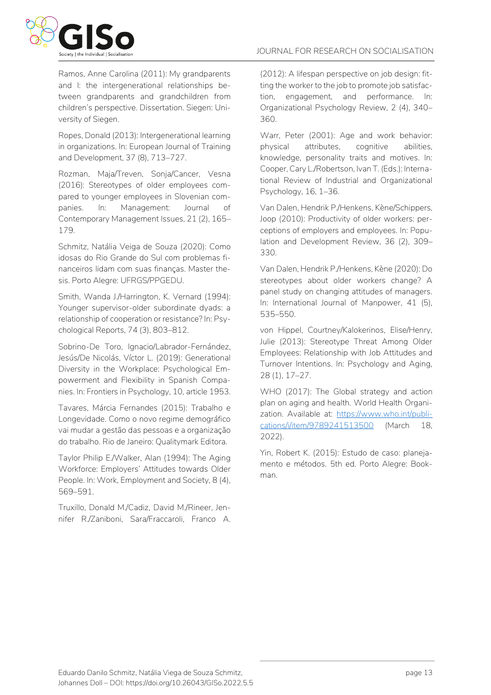

Ramos, Anne Carolina (2011): My grandparents and I: the intergenerational relationships between grandparents and grandchildren from children's perspective. Dissertation. Siegen: University of Siegen.

Ropes, Donald (2013): Intergenerational learning in organizations. In: European Journal of Training and Development, 37 (8), 713–727.

Rozman, Maja/Treven, Sonja/Cancer, Vesna (2016): Stereotypes of older employees compared to younger employees in Slovenian companies. In: Management: Journal of Contemporary Management Issues, 21 (2), 165– 179.

Schmitz, Natália Veiga de Souza (2020): Como idosas do Rio Grande do Sul com problemas financeiros lidam com suas finanças. Master thesis. Porto Alegre: UFRGS/PPGEDU.

Smith, Wanda J./Harrington, K. Vernard (1994): Younger supervisor-older subordinate dyads: a relationship of cooperation or resistance? In: Psychological Reports, 74 (3), 803–812.

Sobrino-De Toro, Ignacio/Labrador-Fernández, Jesús/De Nicolás, Víctor L. (2019): Generational Diversity in the Workplace: Psychological Empowerment and Flexibility in Spanish Companies. In: Frontiers in Psychology, 10, article 1953.

Tavares, Márcia Fernandes (2015): Trabalho e Longevidade. Como o novo regime demográfico vai mudar a gestão das pessoas e a organização do trabalho. Rio de Janeiro: Qualitymark Editora.

Taylor Philip E./Walker, Alan (1994): The Aging Workforce: Employers' Attitudes towards Older People. In: Work, Employment and Society, 8 (4), 569–591.

Truxillo, Donald M./Cadiz, David M./Rineer, Jennifer R./Zaniboni, Sara/Fraccaroli, Franco A. (2012): A lifespan perspective on job design: fitting the worker to the job to promote job satisfaction, engagement, and performance. In: Organizational Psychology Review, 2 (4), 340– 360.

Warr, Peter (2001): Age and work behavior: physical attributes, cognitive abilities, knowledge, personality traits and motives. In: Cooper, Cary L./Robertson, Ivan T. (Eds.): International Review of Industrial and Organizational Psychology, 16, 1–36.

Van Dalen, Hendrik P./Henkens, Kène/Schippers, Joop (2010): Productivity of older workers: perceptions of employers and employees. In: Population and Development Review, 36 (2), 309– 330.

Van Dalen, Hendrik P./Henkens, Kène (2020): Do stereotypes about older workers change? A panel study on changing attitudes of managers. In: International Journal of Manpower, 41 (5), 535–550.

von Hippel, Courtney/Kalokerinos, Elise/Henry, Julie (2013): Stereotype Threat Among Older Employees: Relationship with Job Attitudes and Turnover Intentions. In: Psychology and Aging, 28 (1), 17–27.

WHO (2017): The Global strategy and action plan on aging and health. World Health Organization. Available at: [https://www.who.int/publi](https://www.who.int/publications/i/item/9789241513500)[cations/i/item/9789241513500](https://www.who.int/publications/i/item/9789241513500) (March 18, 2022).

Yin, Robert K. (2015): Estudo de caso: planejamento e métodos. 5th ed. Porto Alegre: Bookman.